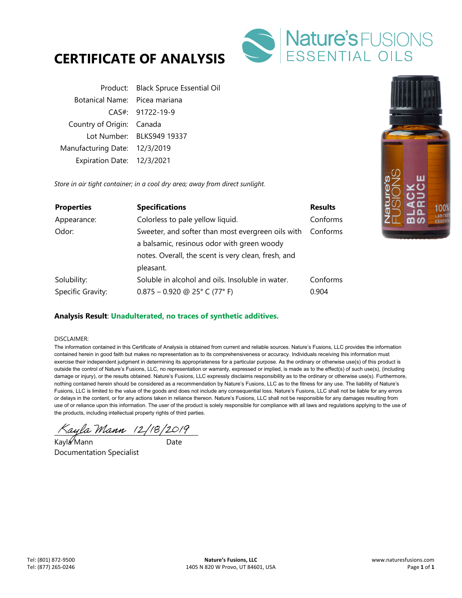



|                               | Product: Black Spruce Essential Oil |
|-------------------------------|-------------------------------------|
| Botanical Name: Picea mariana |                                     |
|                               | CAS#: 91722-19-9                    |
| Country of Origin: Canada     |                                     |
|                               | Lot Number: BLKS949 19337           |
| Manufacturing Date: 12/3/2019 |                                     |
| Expiration Date: 12/3/2021    |                                     |
|                               |                                     |

*Store in air tight container; in a cool dry area; away from direct sunlight.* 

| <b>Properties</b> | <b>Specifications</b>                               | <b>Results</b> |
|-------------------|-----------------------------------------------------|----------------|
| Appearance:       | Colorless to pale yellow liquid.                    | Conforms       |
| Odor:             | Sweeter, and softer than most evergreen oils with   | Conforms       |
|                   | a balsamic, resinous odor with green woody          |                |
|                   | notes. Overall, the scent is very clean, fresh, and |                |
|                   | pleasant.                                           |                |
| Solubility:       | Soluble in alcohol and oils. Insoluble in water.    | Conforms       |
| Specific Gravity: | $0.875 - 0.920$ @ 25° C (77° F)                     | 0.904          |

## **Analysis Result**: **Unadulterated, no traces of synthetic additives.**

#### DISCLAIMER:

The information contained in this Certificate of Analysis is obtained from current and reliable sources. Nature's Fusions, LLC provides the information contained herein in good faith but makes no representation as to its comprehensiveness or accuracy. Individuals receiving this information must exercise their independent judgment in determining its appropriateness for a particular purpose. As the ordinary or otherwise use(s) of this product is outside the control of Nature's Fusions, LLC, no representation or warranty, expressed or implied, is made as to the effect(s) of such use(s), (including damage or injury), or the results obtained. Nature's Fusions, LLC expressly disclaims responsibility as to the ordinary or otherwise use(s). Furthermore, nothing contained herein should be considered as a recommendation by Nature's Fusions, LLC as to the fitness for any use. The liability of Nature's Fusions, LLC is limited to the value of the goods and does not include any consequential loss. Nature's Fusions, LLC shall not be liable for any errors or delays in the content, or for any actions taken in reliance thereon. Nature's Fusions, LLC shall not be responsible for any damages resulting from use of or reliance upon this information. The user of the product is solely responsible for compliance with all laws and regulations applying to the use of the products, including intellectual property rights of third parties.

 $\%$ ayla Mann (2/18/2019

Kayla Mann Date Documentation Specialist

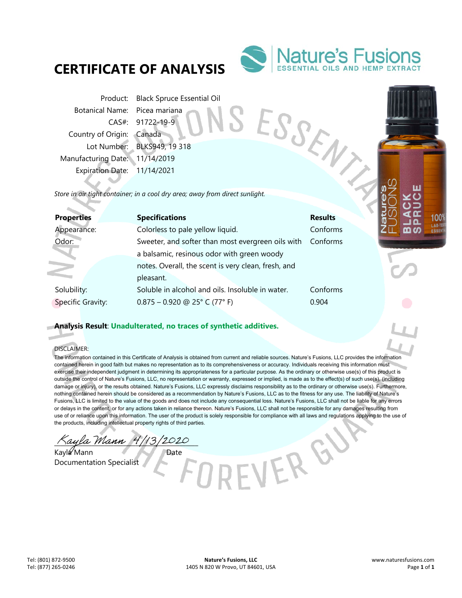# **CERTIFICATE OF ANALYSIS**



Product: Black Spruce Essential Oil Botanical Name: Picea mariana CAS#: 91722-19-9 Country of Origin: Canada Lot Number: BLKS949, 19 318 Manufacturing Date: 11/14/2019 Expiration Date: 11/14/2021 Francisco Name: Picea manual<br>
CAS#: 91722-19-9<br>
Country of Origin: Canada<br>
Lot Number: BLKS949, 19 318<br>
Manufacturing Date: 11/14/2019<br>
Expiration Date: 11/14/2021<br>
Store in air tight container; in a cool dry area; away fr

| <b>Properties</b>        | <b>Specifications</b>                               | <b>Results</b> |
|--------------------------|-----------------------------------------------------|----------------|
| Appearance:              | Colorless to pale yellow liquid.                    | Conforms       |
| Odor:                    | Sweeter, and softer than most evergreen oils with   | Conforms       |
|                          | a balsamic, resinous odor with green woody          |                |
|                          | notes. Overall, the scent is very clean, fresh, and |                |
|                          | pleasant.                                           |                |
| Solubility:              | Soluble in alcohol and oils. Insoluble in water.    | Conforms       |
| <b>Specific Gravity:</b> | $0.875 - 0.920$ @ 25° C (77° F)                     | 0.904          |

## **Analysis Result**: **Unadulterated, no traces of synthetic additives.**

#### DISCLAIMER:

The information contained in this Certificate of Analysis is obtained from current and reliable sources. Nature's Fusions, LLC provides the information contained herein in good faith but makes no representation as to its comprehensiveness or accuracy. Individuals receiving this information must exercise their independent judgment in determining its appropriateness for a particular purpose. As the ordinary or otherwise use(s) of this product is outside the control of Nature's Fusions, LLC, no representation or warranty, expressed or implied, is made as to the effect(s) of such use(s), (including damage or injury), or the results obtained. Nature's Fusions, LLC expressly disclaims responsibility as to the ordinary or otherwise use(s). Furthermore, nothing contained herein should be considered as a recommendation by Nature's Fusions, LLC as to the fitness for any use. The liability of Nature's Fusions, LLC is limited to the value of the goods and does not include any consequential loss. Nature's Fusions, LLC shall not be liable for any errors or delays in the content, or for any actions taken in reliance thereon. Nature's Fusions, LLC shall not be responsible for any damages resulting from use of or reliance upon this information. The user of the product is solely responsible for compliance with all laws and regulations applying to the use of the products, including intellectual property rights of third parties.

-VER GV

Kayla Mann 4/13/2020

Kayla Mann Date Documentation Specialist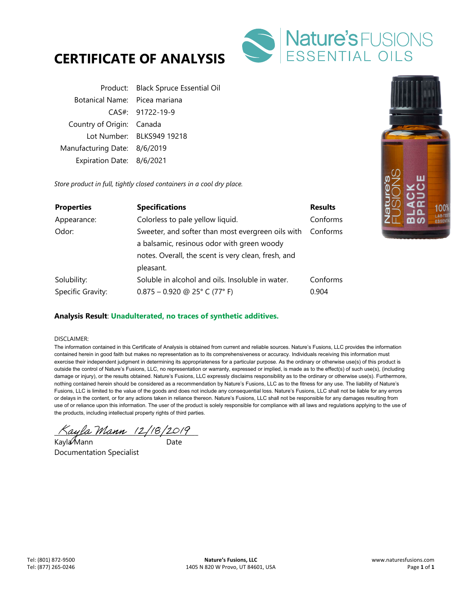



|                               | Product: Black Spruce Essential Oil |
|-------------------------------|-------------------------------------|
| Botanical Name: Picea mariana |                                     |
|                               | CAS#: 91722-19-9                    |
| Country of Origin: Canada     |                                     |
|                               | Lot Number: BLKS949 19218           |
| Manufacturing Date: 8/6/2019  |                                     |
| Expiration Date: 8/6/2021     |                                     |

*Store product in full, tightly closed containers in a cool dry place.* 

| <b>Properties</b> | <b>Specifications</b>                               | <b>Results</b> |
|-------------------|-----------------------------------------------------|----------------|
| Appearance:       | Colorless to pale yellow liquid.                    | Conforms       |
| Odor:             | Sweeter, and softer than most evergreen oils with   | Conforms       |
|                   | a balsamic, resinous odor with green woody          |                |
|                   | notes. Overall, the scent is very clean, fresh, and |                |
|                   | pleasant.                                           |                |
| Solubility:       | Soluble in alcohol and oils. Insoluble in water.    | Conforms       |
| Specific Gravity: | $0.875 - 0.920$ @ 25° C (77° F)                     | 0.904          |

## **Analysis Result**: **Unadulterated, no traces of synthetic additives.**

#### DISCLAIMER:

The information contained in this Certificate of Analysis is obtained from current and reliable sources. Nature's Fusions, LLC provides the information contained herein in good faith but makes no representation as to its comprehensiveness or accuracy. Individuals receiving this information must exercise their independent judgment in determining its appropriateness for a particular purpose. As the ordinary or otherwise use(s) of this product is outside the control of Nature's Fusions, LLC, no representation or warranty, expressed or implied, is made as to the effect(s) of such use(s), (including damage or injury), or the results obtained. Nature's Fusions, LLC expressly disclaims responsibility as to the ordinary or otherwise use(s). Furthermore, nothing contained herein should be considered as a recommendation by Nature's Fusions, LLC as to the fitness for any use. The liability of Nature's Fusions, LLC is limited to the value of the goods and does not include any consequential loss. Nature's Fusions, LLC shall not be liable for any errors or delays in the content, or for any actions taken in reliance thereon. Nature's Fusions, LLC shall not be responsible for any damages resulting from use of or reliance upon this information. The user of the product is solely responsible for compliance with all laws and regulations applying to the use of the products, including intellectual property rights of third parties.

Kayla Mann 12/18/2019

Kayla Mann Date Documentation Specialist